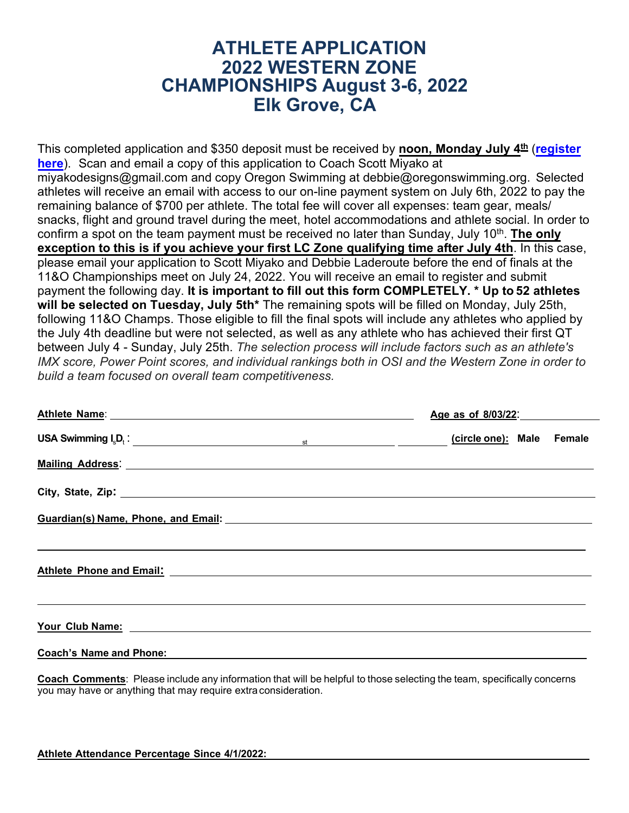## **ATHLETE APPLICATION 2022 WESTERN ZONE CHAMPIONSHIPS August 3-6, 2022 Elk Grove, CA**

This completed application and \$350 deposit must be received by **noon, Monday July 4 th** (**[register](https://oregonswimminginc.regfox.com/2022-western-age-group-zones?_ga=2.208466578.1056768658.1655139907-494960959.1652894176) [here](https://oregonswimminginc.regfox.com/2022-western-age-group-zones?_ga=2.208466578.1056768658.1655139907-494960959.1652894176)**). Scan and email a copy of this application to Coach Scott Miyako at [miyakodesigns@gmail.com](mailto:miyakodesigns@gmail.com) and copy Oregon Swimming at [debbie@oregonswimming.org.](mailto:debbie@oregonswimming.org) Selected athletes will receive an email with access to our on-line payment system on July 6th, 2022 to pay the remaining balance of \$700 per athlete. The total fee will cover all expenses: team gear, meals/ snacks, flight and ground travel during the meet, hotel accommodations and athlete social. In order to confirm a spot on the team payment must be received no later than Sunday, July 10<sup>th</sup>. <mark>The only</mark> **exception to this is if you achieve your first LC Zone qualifying time after July 4th**. In this case, please email your application to Scott Miyako and Debbie Laderoute before the end of finals at the 11&O Championships meet on July 24, 2022. You will receive an email to register and submit payment the following day. **It is important to fill out this form COMPLETELY. \* Up to 52 athletes will be selected on Tuesday, July 5th\*** The remaining spots will be filled on Monday, July 25th, following 11&O Champs. Those eligible to fill the final spots will include any athletes who applied by the July 4th deadline but were not selected, as well as any athlete who has achieved their first QT between July 4 - Sunday, July 25th. *The selection process will include factors such as an athlete's IMX score, Power Point scores, and individual rankings both in OSI and the Western Zone in order to build a team focused on overall team competitiveness.*

| Athlete Name: Manual Athletic Name: Athletic Name: Athletic Name: Athletic Name: Athletic Name: Athletic Name:                                                                                                                    | Age as of 8/03/22:        |  |  |  |  |
|-----------------------------------------------------------------------------------------------------------------------------------------------------------------------------------------------------------------------------------|---------------------------|--|--|--|--|
| USA Swimming $I_s D_t$ : state of the state of the state of the state of the state of the state of the state of the state of the state of the state of the state of the state of the state of the state of the state of the state | (circle one): Male Female |  |  |  |  |
| Mailing Address: Mailing Address: Mailing Address: Mailing Address: Mailing Address: Mail 1999                                                                                                                                    |                           |  |  |  |  |
| City, State, Zip: 2008. Example 2009. The State of the State of the State of the State of the State of the State of the State of the State of the State of the State of the State of the State of the State of the State of th    |                           |  |  |  |  |
| Guardian(s) Name, Phone, and Email: Manual Assemblance Cuardian Communication of the Cuardian (s) Name, Phone,                                                                                                                    |                           |  |  |  |  |
|                                                                                                                                                                                                                                   |                           |  |  |  |  |
|                                                                                                                                                                                                                                   |                           |  |  |  |  |
| <b>Coach's Name and Phone:</b>                                                                                                                                                                                                    |                           |  |  |  |  |

**Coach Comments**: Please include any information that will be helpful to those selecting the team, specifically concerns you may have or anything that may require extraconsideration.